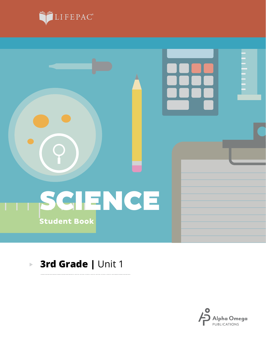



. . . . . . . . .

#### **3rd Grade |** Unit 1 $\blacktriangleright$

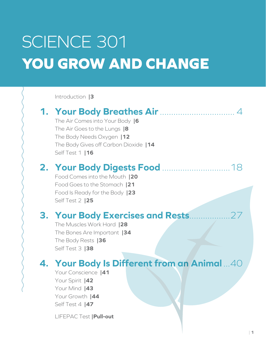# SCIENCE 301 **YOU GROW AND CHANGE**

Introduction **|3**

## **1. Your Body Breathes Air**................................. 4 The Air Comes into Your Body **|6** The Air Goes to the Lungs **|8** The Body Needs Oxygen **|12** The Body Gives off Carbon Dioxide **|14** Self Test 1 **|16 2. Your Body Digests Food** ..............................18 Food Comes into the Mouth **|20** Food Goes to the Stomach **|21** Food Is Ready for the Body **|23** Self Test 2 **|25 3. Your Body Exercises and Rests**..................27 The Muscles Work Hard **|28** The Bones Are Important **|34** The Body Rests **|36** Self Test 3 **|38 4. Your Body Is Different from an Animal** ...40 Your Conscience **|41** Your Spirit **|42** Your Mind **|43** Your Growth **|44**

Self Test 4 **|47**

LIFEPAC Test **|Pull-out**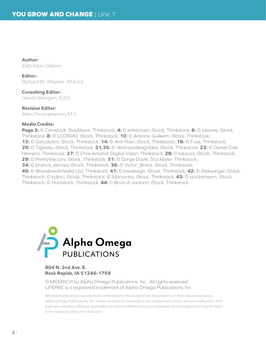**Author:** Zella Mary Osborn

#### **Editor:**

Richard W. Wheeler, M.A.Ed.

**Consulting Editor:** Harold Wengert, Ed.D.

#### **Revision Editor:**

Alan Christopherson, M.S.

#### **Media Credits:**

**Page 3:** © Comstock, Stockbyte, Thinkstock; **4:** © erlobrown, iStock, Thinkstock; **6:** © lukaves, iStock, Thinkstock; **8:** © LCOSMO, iStock, Thinkstock, **10:** © Antonio Guileem, iStock, Thinkstock; **13:** © Garydyson, iStock, Thinkstock; **14:** © Ami-Rian, iStock, Thinkstock; **18:** © Fuse, Thinkstock; **20:** © Tigatelu, iStock, Thinkstock; **21,35:** © abstractdesignlabs, iStock, Thinkstock; **23:** © Daniel Cole, Hemera, Thinkstock; **27:** © Chris Amaral, Digital Vision, Thinkstock; **28:** © lukaves, iStock, Thinkstock; **29:** © PrettyVectors, iStock, Thinkstock; **31:** © Gorge Doyle, Stockbyte, Thinkstock; **34:** © branca\_escova, iStock, Thinkstock; **36:** © Victor\_Brave, iStock, Thinkstock; **40:** © Wavebreakmedia Ltd, Thinkstock; **41:** © lawdesign, iStock, Thinkstock; **42:** © Aleksangel, iStock, Thinkstock; © kulinci, iStock, Thinkstock; © Sibiryanka, iStock, Thinkstock; **43:** © stockerteam, iStock, Thinkstock; © Huntstock, Thinkstock; **44:** © Brian A Jackson, iStock, Thinkstock



#### **804 N. 2nd Ave. E. Rock Rapids, IA 51246-1759**

© MCMXCVI by Alpha Omega Publications, Inc. All rights reserved. LIFEPAC is a registered trademark of Alpha Omega Publications, Inc.

All trademarks and/or service marks referenced in this material are the property of their respective owners. Alpha Omega Publications, Inc. makes no claim of ownership to any trademarks and/or service marks other than their own and their affiliates, and makes no claim of affiliation to any companies whose trademarks may be listed in this material, other than their own.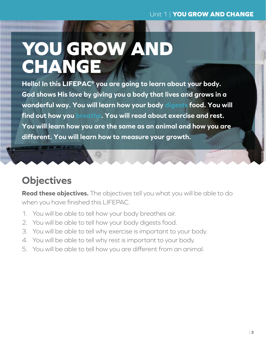$W(1)$ 

# **YOU GROW AND CHANGE**

**Hello! In this LIFEPAC® you are going to learn about your body. God shows His love by giving you a body that lives and grows in a wonderful way. You will learn how your body digests food. You will find out how you breathe. You will read about exercise and rest. You will learn how you are the same as an animal and how you are different. You will learn how to measure your growth.**

# **Objectives**

**Read these objectives.** The objectives tell you what you will be able to do when you have finished this LIFEPAC.

- 1. You will be able to tell how your body breathes air.
- 2. You will be able to tell how your body digests food.
- 3. You will be able to tell why exercise is important to your body.
- 4. You will be able to tell why rest is important to your body.
- 5. You will be able to tell how you are different from an animal.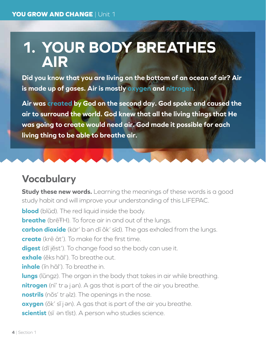# **1. YOUR BODY BREATHES AIR**

**Did you know that you are living on the bottom of an ocean of air? Air is made up of gases. Air is mostly oxygen and nitrogen.**

**Air was created by God on the second day. God spoke and caused the air to surround the world. God knew that all the living things that He was going to create would need air. God made it possible for each living thing to be able to breathe air.**

## **Vocabulary**

**Study these new words.** Learning the meanings of these words is a good study habit and will improve your understanding of this LIFEPAC.

**blood** (blŭd). The red liquid inside the body.

**breathe** (bre<sup>TH</sup>). To force air in and out of the lungs.

**carbon dioxide** (kär' b <sup>e</sup> n dī ŏk' sīd). The gas exhaled from the lungs.

**create** (krē āt'). To make for the first time.

**digest** (dī jĕst'). To change food so the body can use it.

**exhale** (ĕks hāl'). To breathe out.

**inhale** (ĭn hāl'). To breathe in.

**lungs** (lŭngz). The organ in the body that takes in air while breathing.

nitrogen (nī' tr ə j ən). A gas that is part of the air you breathe.

nostrils (nŏs' tr alz). The openings in the nose.

**oxygen** (ŏk' sĭ j ən). A gas that is part of the air you breathe.

scientist (sī ən tĭst). A person who studies science.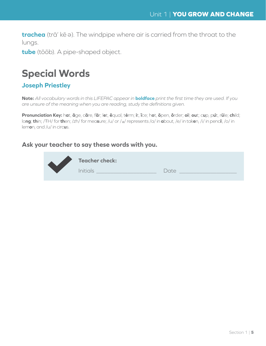**trachea** (trā' kē <sup>e</sup> ). The windpipe where air is carried from the throat to the lungs.

**tube** (tōōb). A pipe-shaped object.

## **Special Words**

#### **Joseph Priestley**

**Note:** *All vocabulary words in this LIFEPAC appear in* **boldface** *print the first time they are used. If you are unsure of the meaning when you are reading, study the definitions given.*

Pronunciation Key: hat, āge, cāre, fär; let, ēqual, tėrm; it, īce; hot, ōpen, ôrder; oil; out; cup, put, rüle; child; lo**ng**; **th**in; /ŦH/ for **th**en; /zh/ for mea**s**ure; /u/ or / <sup>e</sup> / represents /a/ in **a**bout, /e/ in tak**e**n, /i/ in penc**i**l, /o/ in lem**o**n, and /u/ in circ**u**s.

#### **Ask your teacher to say these words with you.**

|  | <b>Teacher check:</b> |      |  |
|--|-----------------------|------|--|
|  | <b>Initials</b>       | Date |  |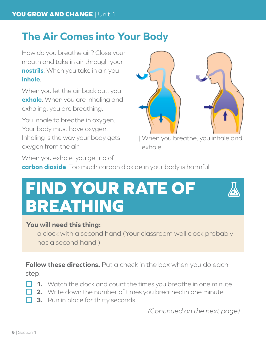## **The Air Comes into Your Body**

How do you breathe air? Close your mouth and take in air through your **nostrils**. When you take in air, you **inhale**.

When you let the air back out, you **exhale**. When you are inhaling and exhaling, you are breathing.

You inhale to breathe in oxygen. Your body must have oxygen. Inhaling is the way your body gets oxygen from the air.



| When you breathe, you inhale and exhale.

When you exhale, you get rid of

**carbon dioxide**. Too much carbon dioxide in your body is harmful.

# **FIND YOUR RATE OF BREATHING**

### **You will need this thing:**

a clock with a second hand (Your classroom wall clock probably has a second hand.)

**Follow these directions.** Put a check in the box when you do each step.

- **1.** Watch the clock and count the times you breathe in one minute.
- **2.** Write down the number of times you breathed in one minute.
- **3.** Run in place for thirty seconds.

*(Continued on the next page)*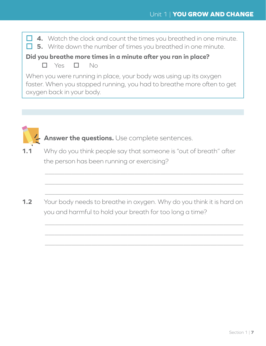**4.** Watch the clock and count the times you breathed in one minute. **5.** Write down the number of times you breathed in one minute. **Did you breathe more times in a minute after you ran in place?**  $\Box$  Yes  $\Box$  No When you were running in place, your body was using up its oxygen faster. When you stopped running, you had to breathe more often to get oxygen back in your body.



**Answer the questions.** Use complete sentences.

**1.1** Why do you think people say that someone is "out of breath" after the person has been running or exercising?

 $\_$  , and the set of the set of the set of the set of the set of the set of the set of the set of the set of the set of the set of the set of the set of the set of the set of the set of the set of the set of the set of th

 $\_$  , and the set of the set of the set of the set of the set of the set of the set of the set of the set of the set of the set of the set of the set of the set of the set of the set of the set of the set of the set of th

 $\_$  , and the set of the set of the set of the set of the set of the set of the set of the set of the set of the set of the set of the set of the set of the set of the set of the set of the set of the set of the set of th

 $\_$  , and the set of the set of the set of the set of the set of the set of the set of the set of the set of the set of the set of the set of the set of the set of the set of the set of the set of the set of the set of th

 $\_$  , and the set of the set of the set of the set of the set of the set of the set of the set of the set of the set of the set of the set of the set of the set of the set of the set of the set of the set of the set of th

 $\_$  , and the set of the set of the set of the set of the set of the set of the set of the set of the set of the set of the set of the set of the set of the set of the set of the set of the set of the set of the set of th

**1.2** Your body needs to breathe in oxygen. Why do you think it is hard on you and harmful to hold your breath for too long a time?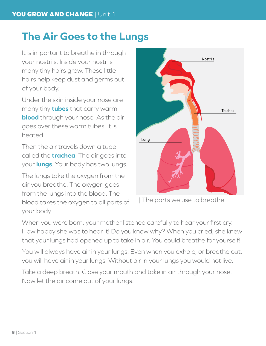## **The Air Goes to the Lungs**

It is important to breathe in through your nostrils. Inside your nostrils many tiny hairs grow. These little hairs help keep dust and germs out of your body.

Under the skin inside your nose are many tiny **tubes** that carry warm **blood** through your nose. As the air goes over these warm tubes, it is heated.

Then the air travels down a tube called the **trachea**. The air goes into your **lungs**. Your body has two lungs.

The lungs take the oxygen from the air you breathe. The oxygen goes from the lungs into the blood. The blood takes the oxygen to all parts of your body.



| The parts we use to breathe

When you were born, your mother listened carefully to hear your first cry. How happy she was to hear it! Do you know why? When you cried, she knew that your lungs had opened up to take in air. You could breathe for yourself!

You will always have air in your lungs. Even when you exhale, or breathe out, you will have air in your lungs. Without air in your lungs you would not live.

Take a deep breath. Close your mouth and take in air through your nose. Now let the air come out of your lungs.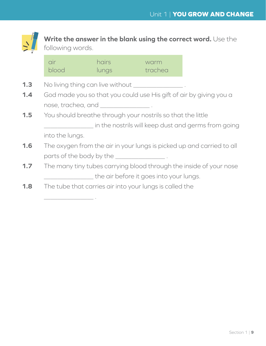

**Write the answer in the blank using the correct word.** Use the following words.

| air<br>blood                                            | hairs<br>lungs                              | warm<br>trachea                                             |                                                                       |
|---------------------------------------------------------|---------------------------------------------|-------------------------------------------------------------|-----------------------------------------------------------------------|
|                                                         | No living thing can live without ___        |                                                             |                                                                       |
|                                                         |                                             |                                                             | God made you so that you could use His gift of air by giving you a    |
|                                                         | nose, trachea, and _________________.       |                                                             |                                                                       |
|                                                         |                                             | You should breathe through your nostrils so that the little |                                                                       |
|                                                         |                                             |                                                             | in the nostrils will keep dust and germs from going                   |
| into the lungs.                                         |                                             |                                                             |                                                                       |
|                                                         |                                             |                                                             | The oxygen from the air in your lungs is picked up and carried to all |
|                                                         | parts of the body by the _________________. |                                                             |                                                                       |
|                                                         |                                             |                                                             | The many tiny tubes carrying blood through the inside of your nose    |
|                                                         |                                             | the air before it goes into your lungs.                     |                                                                       |
| The tube that carries air into your lungs is called the |                                             |                                                             |                                                                       |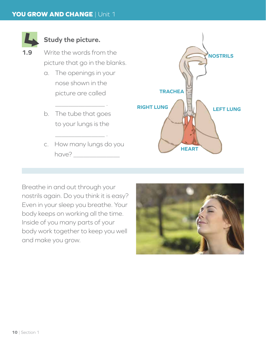

## **Study the picture.**

- **1.9** Write the words from the picture that go in the blanks.
	- a. The openings in your nose shown in the picture are called

\_\_\_\_\_\_\_\_\_\_\_\_\_\_\_ .

- b. The tube that goes to your lungs is the
- c. How many lungs do you have?

\_\_\_\_\_\_\_\_\_\_\_\_\_\_\_ .



Breathe in and out through your nostrils again. Do you think it is easy? Even in your sleep you breathe. Your body keeps on working all the time. Inside of you many parts of your body work together to keep you well and make you grow.

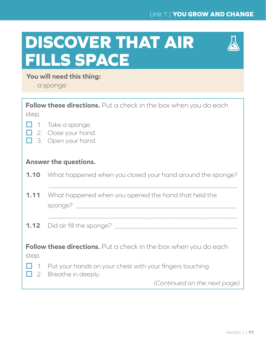### Unit 1 | **YOU GROW AND CHANGE**

# **DISCOVER THAT AIR FILLS SPACE**



### **You will need this thing:**

a sponge

|       | <b>Follow these directions.</b> Put a check in the box when you do each                            |
|-------|----------------------------------------------------------------------------------------------------|
| step. |                                                                                                    |
|       | $\Box$ 1. Take a sponge.<br>$\Box$ 2. Close your hand.<br>$\Box$ 3. Open your hand.                |
|       | <b>Answer the questions.</b>                                                                       |
|       | <b>1.10</b> What happened when you closed your hand around the sponge?                             |
|       | <b>1.11</b> What happened when you opened the hand that held the                                   |
|       |                                                                                                    |
| step. | <b>Follow these directions.</b> Put a check in the box when you do each                            |
|       | $\Box$ 1. Put your hands on your chest with your fingers touching.<br>$\Box$ 2. Breathe in deeply. |

*(Continued on the next page)*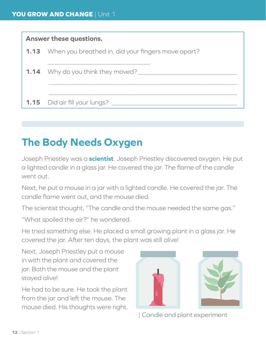## **Answer these questions. 1.13** When you breathed in, did your fingers move apart? \_\_\_\_\_\_\_\_\_\_\_\_\_\_\_\_\_\_\_\_\_\_\_\_\_\_\_\_\_\_\_

**1.14** Why do you think they moved?

**1.15** Did air fill your lungs?

# **The Body Needs Oxygen**

Joseph Priestley was a **scientist**. Joseph Priestley discovered oxygen. He put a lighted candle in a glass jar. He covered the jar. The flame of the candle went out.

\_\_\_\_\_\_\_\_\_\_\_\_\_\_\_\_\_\_\_\_\_\_\_\_\_\_\_\_\_\_\_\_\_\_\_\_\_\_\_\_\_\_\_\_\_\_\_\_\_\_\_\_\_\_\_\_\_

\_\_\_\_\_\_\_\_\_\_\_\_\_\_\_\_\_\_\_\_\_\_\_\_\_\_\_\_\_\_\_\_\_\_\_\_\_\_\_\_\_\_\_\_\_\_\_\_\_\_\_\_\_\_\_\_\_

Next, he put a mouse in a jar with a lighted candle. He covered the jar. The candle flame went out, and the mouse died.

The scientist thought, "The candle and the mouse needed the same gas."

"What spoiled the air?" he wondered.

He tried something else. He placed a small growing plant in a glass jar. He covered the jar. After ten days, the plant was still alive!

Next, Joseph Priestley put a mouse in with the plant and covered the jar. Both the mouse and the plant stayed alive!

He had to be sure. He took the plant from the jar and left the mouse. The mouse died. His thoughts were right.





| Candle and plant experiment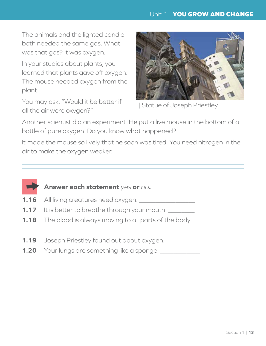#### Unit 1 | **YOU GROW AND CHANGE**

The animals and the lighted candle both needed the same gas. What was that gas? It was oxygen.

In your studies about plants, you learned that plants gave off oxygen. The mouse needed oxygen from the plant.

You may ask, "Would it be better if all the air were oxygen?"



Statue of Joseph Priestley

Another scientist did an experiment. He put a live mouse in the bottom of a bottle of pure oxygen. Do you know what happened?

It made the mouse so lively that he soon was tired. You need nitrogen in the air to make the oxygen weaker.



**1.16** All living creatures need oxygen.

\_\_\_\_\_\_\_\_\_\_\_\_\_\_\_\_\_

- **1.17** It is better to breathe through your mouth.
- **1.18** The blood is always moving to all parts of the body.
- **1.19** Joseph Priestley found out about oxygen.
- **1.20** Your lungs are something like a sponge. \_\_\_\_\_\_\_\_\_\_\_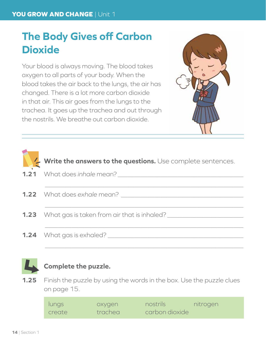# **The Body Gives off Carbon Dioxide**

Your blood is always moving. The blood takes oxygen to all parts of your body. When the blood takes the air back to the lungs, the air has changed. There is a lot more carbon dioxide in that air. This air goes from the lungs to the trachea. It goes up the trachea and out through the nostrils. We breathe out carbon dioxide.



| Write the answers to the questions. Use complete sentences. |
|-------------------------------------------------------------|
|                                                             |
| <b>1.22</b> What does exhale mean?                          |
| <b>1.23</b> What gas is taken from air that is inhaled?     |
| <b>1.24</b> What gas is exhaled?                            |



### **Complete the puzzle.**

**1.25** Finish the puzzle by using the words in the box. Use the puzzle clues on page 15.

| lungs  | oxygen  | nostrils       | nitrogen |
|--------|---------|----------------|----------|
| create | trachea | carbon dioxide |          |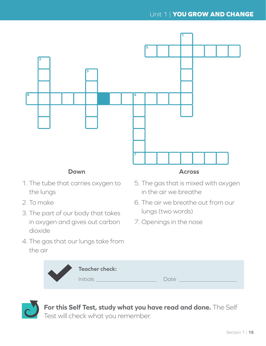#### Unit 1 | **YOU GROW AND CHANGE**



#### **Down**

- 1. The tube that carries oxygen to the lungs
- 2. To make
- 3. The part of our body that takes in oxygen and gives out carbon dioxide
- 4. The gas that our lungs take from the air

#### **Across**

- 5. The gas that is mixed with oxygen in the air we breathe
- 6. The air we breathe out from our lungs (two words)
- 7. Openings in the nose

| <b>Teacher check:</b> |        |
|-----------------------|--------|
| Initials              | $\det$ |



**For this Self Test, study what you have read and done.** The Self Test will check what you remember.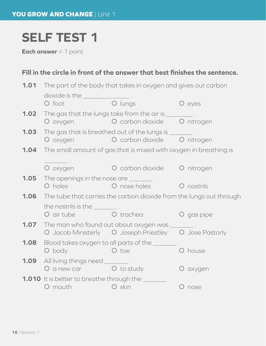# **SELF TEST 1**

**Each answer** = 1 point

## **Fill in the circle in front of the answer that best finishes the sentence.**

|      | <b>1.01</b> The part of the body that takes in oxygen and gives out carbon                                                                                                                                                                                                           |                                                       |            |  |
|------|--------------------------------------------------------------------------------------------------------------------------------------------------------------------------------------------------------------------------------------------------------------------------------------|-------------------------------------------------------|------------|--|
|      | dioxide is the _________________.                                                                                                                                                                                                                                                    |                                                       |            |  |
|      | O foot<br><b>O</b> lungs                                                                                                                                                                                                                                                             |                                                       | O eyes     |  |
| 1.02 | The gas that the lungs take from the air is __________.                                                                                                                                                                                                                              | O oxygen O carbon dioxide O nitrogen                  |            |  |
| 1.03 | The gas that is breathed out of the lungs is when an ex-                                                                                                                                                                                                                             | O oxygen O carbon dioxide O nitrogen                  |            |  |
|      | <b>1.04</b> The small amount of gas that is mixed with oxygen in breathing is                                                                                                                                                                                                        |                                                       |            |  |
|      | O oxygen                                                                                                                                                                                                                                                                             | O carbon dioxide O nitrogen                           |            |  |
|      | <b>1.05</b> The openings in the nose are _________.<br>O holes and the control of the control of the control of the control of the control of the control of the control of the control of the control of the control of the control of the control of the control of the control of | O nose holes                                          | O nostrils |  |
| 1.06 | The tube that carries the carbon dioxide from the lungs out through                                                                                                                                                                                                                  |                                                       |            |  |
|      | the nostrils is the $\_\_$ .<br>O air tube O trachea                                                                                                                                                                                                                                 |                                                       | O gas pipe |  |
|      | <b>1.07</b> The man who found out about oxygen was _______                                                                                                                                                                                                                           | O Jacob Ministerly O Joseph Priestley O Jose Pastorly |            |  |
| 1.08 | Blood takes oxygen to all parts of the ______<br>O body                                                                                                                                                                                                                              | O toe                                                 | O house    |  |
|      | <b>1.09</b> All living things need _________.<br>O a new car O to study                                                                                                                                                                                                              |                                                       | O oxygen   |  |
|      | <b>1.010</b> It is better to breathe through the _________.<br>O mouth O skin                                                                                                                                                                                                        |                                                       | O nose     |  |
|      |                                                                                                                                                                                                                                                                                      |                                                       |            |  |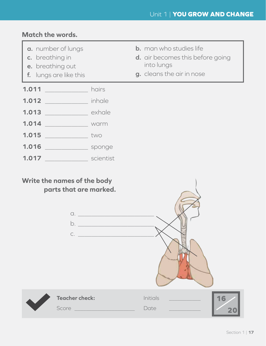### **Match the words.**

- **a.** number of lungs
- **c.** breathing in
- **e.** breathing out
- **f.** lungs are like this

| <b>b.</b> man who studies life                        |
|-------------------------------------------------------|
| tallar estas la serie a serie de la facta de la Carac |

- **d.** air becomes this before going into lungs
- **g.** cleans the air in nose

| 1.011 | hairs  |
|-------|--------|
| 1.012 | inhale |

- **1.013** exhale
- **1.014** \_\_\_\_\_\_\_\_\_\_\_\_\_ warm
- **1.015** \_\_\_\_\_\_\_\_\_\_\_\_\_ two
- **1.016** \_\_\_\_\_\_\_\_\_\_\_\_\_ sponge
- **1.017** \_\_\_\_\_\_\_\_\_\_\_\_\_ scientist

#### **Write the names of the body parts that are marked.**

**Teacher check:** Initials Score \_\_\_\_\_\_\_\_\_\_\_\_\_\_\_\_\_\_\_\_\_ Date \_\_\_\_\_\_\_\_\_\_\_ **16 20**  $\alpha$ .  $\qquad \qquad$  $b.$  $C.$   $\qquad \qquad$